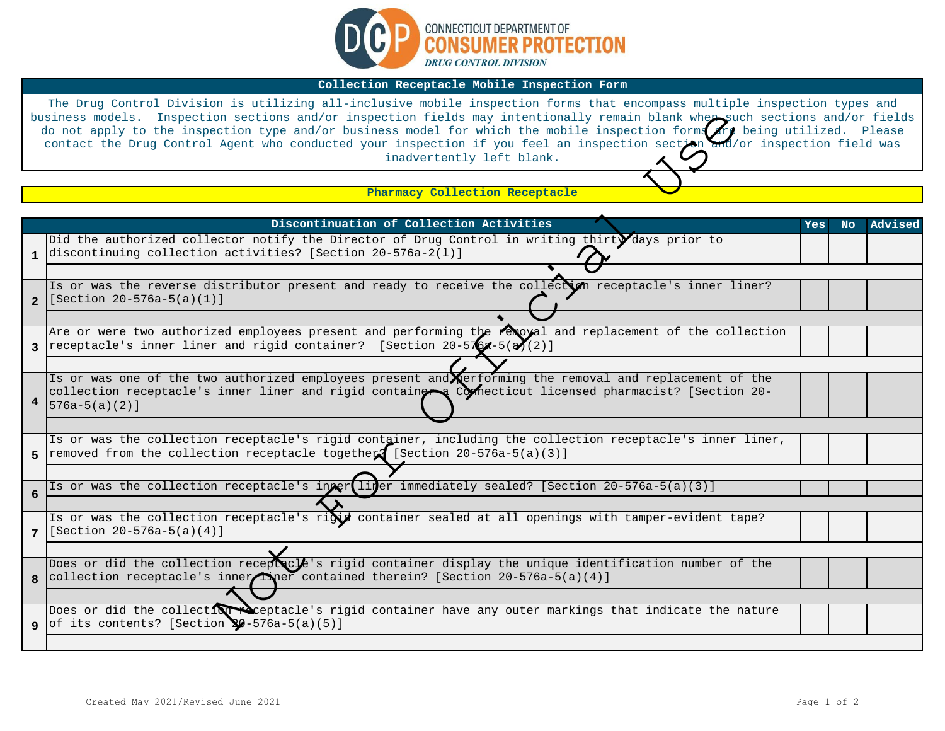

## **Collection Receptacle Mobile Inspection Form**

The Drug Control Division is utilizing all-inclusive mobile inspection forms that encompass multiple inspection types and business models. Inspection sections and/or inspection fields may intentionally remain blank when such sections and/or fields do not apply to the inspection type and/or business model for which the mobile inspection forms $\bigwedge\limits^{r}$  being utilized. Please contact the Drug Control Agent who conducted your inspection if you feel an inspection section and/or inspection field was inadvertently left blank.

|                | business models. Inspection sections and/or inspection fields may intentionally remain blank wher such sections and/or fields<br>do not apply to the inspection type and/or business model for which the mobile inspection forms are being utilized. Please<br>contact the Drug Control Agent who conducted your inspection if you feel an inspection section and/or inspection field was<br>inadvertently left blank. |     |     |         |
|----------------|------------------------------------------------------------------------------------------------------------------------------------------------------------------------------------------------------------------------------------------------------------------------------------------------------------------------------------------------------------------------------------------------------------------------|-----|-----|---------|
|                |                                                                                                                                                                                                                                                                                                                                                                                                                        |     |     |         |
|                | Pharmacy Collection Receptacle                                                                                                                                                                                                                                                                                                                                                                                         |     |     |         |
|                |                                                                                                                                                                                                                                                                                                                                                                                                                        |     |     |         |
|                | Discontinuation of Collection Activities                                                                                                                                                                                                                                                                                                                                                                               | Yes | No. | Advised |
|                | Did the authorized collector notify the Director of Drug Control in writing thirt days prior to<br>1 discontinuing collection activities? [Section 20-576a-2(1)]                                                                                                                                                                                                                                                       |     |     |         |
|                |                                                                                                                                                                                                                                                                                                                                                                                                                        |     |     |         |
| $\overline{2}$ | Is or was the reverse distributor present and ready to receive the collection receptacle's inner liner?<br>$[Section 20-576a-5(a)(1)]$                                                                                                                                                                                                                                                                                 |     |     |         |
|                |                                                                                                                                                                                                                                                                                                                                                                                                                        |     |     |         |
|                | Are or were two authorized employees present and performing the reloyal and replacement of the collection<br>3   receptacle's inner liner and rigid container? [Section $20-5767-5(37)(2)$ ]                                                                                                                                                                                                                           |     |     |         |
|                |                                                                                                                                                                                                                                                                                                                                                                                                                        |     |     |         |
| 4              | Is or was one of the two authorized employees present and erforming the removal and replacement of the<br>collection receptacle's inner liner and rigid container Connecticut licensed pharmacist? [Section 20-<br>$[576a-5(a)(2)]$                                                                                                                                                                                    |     |     |         |
|                |                                                                                                                                                                                                                                                                                                                                                                                                                        |     |     |         |
| 5.             | Is or was the collection receptacle's rigid container, including the collection receptacle's inner liner,<br>removed from the collection receptacle together [Section 20-576a-5(a)(3)]                                                                                                                                                                                                                                 |     |     |         |
|                |                                                                                                                                                                                                                                                                                                                                                                                                                        |     |     |         |
| 6              | Is or was the collection receptacle's inper liner immediately sealed? [Section 20-576a-5(a)(3)]                                                                                                                                                                                                                                                                                                                        |     |     |         |
|                |                                                                                                                                                                                                                                                                                                                                                                                                                        |     |     |         |
|                | Is or was the collection receptacle's rigid container sealed at all openings with tamper-evident tape?<br>7 [Section 20-576a-5(a)(4)]                                                                                                                                                                                                                                                                                  |     |     |         |
|                |                                                                                                                                                                                                                                                                                                                                                                                                                        |     |     |         |
| 8              | Does or did the collection recept cle's rigid container display the unique identification number of the<br>collection receptacle's inner Ther contained therein? [Section 20-576a-5(a)(4)]                                                                                                                                                                                                                             |     |     |         |
|                |                                                                                                                                                                                                                                                                                                                                                                                                                        |     |     |         |
| 9              | Does or did the collection exceptacle's rigid container have any outer markings that indicate the nature<br>of its contents? [Section $\sqrt{9-576a-5(a)(5)}$ ]                                                                                                                                                                                                                                                        |     |     |         |
|                |                                                                                                                                                                                                                                                                                                                                                                                                                        |     |     |         |